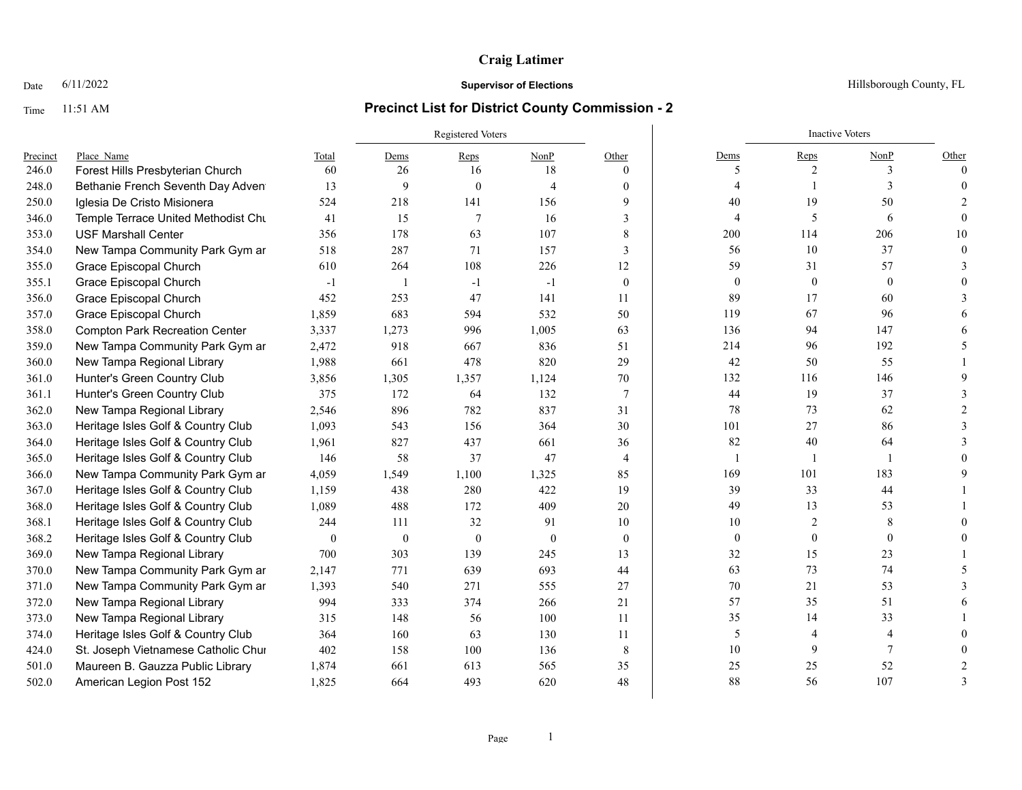### Date  $6/11/2022$  Hillsborough County, FL

|          |                                       |                  |                  | <b>Registered Voters</b> |                |                |                  | <b>Inactive Voters</b> |                |          |
|----------|---------------------------------------|------------------|------------------|--------------------------|----------------|----------------|------------------|------------------------|----------------|----------|
| Precinct | Place Name                            | Total            | Dems             | Reps                     | NonP           | Other          | Dems             | Reps                   | NonP           | Other    |
| 246.0    | Forest Hills Presbyterian Church      | 60               | 26               | 16                       | 18             | $\theta$       | 5                | 2                      | 3              | $\theta$ |
| 248.0    | Bethanie French Seventh Day Adven     | 13               | 9                | $\theta$                 | $\overline{4}$ | $\theta$       | 4                |                        | $\mathbf{3}$   | $\Omega$ |
| 250.0    | Iglesia De Cristo Misionera           | 524              | 218              | 141                      | 156            | 9              | 40               | 19                     | 50             |          |
| 346.0    | Temple Terrace United Methodist Chu   | 41               | 15               | $\overline{7}$           | 16             | 3              | 4                | 5                      | 6              | $\Omega$ |
| 353.0    | <b>USF Marshall Center</b>            | 356              | 178              | 63                       | 107            | 8              | 200              | 114                    | 206            | 10       |
| 354.0    | New Tampa Community Park Gym ar       | 518              | 287              | 71                       | 157            | $\overline{3}$ | 56               | 10                     | 37             | $\Omega$ |
| 355.0    | Grace Episcopal Church                | 610              | 264              | 108                      | 226            | 12             | 59               | 31                     | 57             |          |
| 355.1    | Grace Episcopal Church                | $-1$             | $\overline{1}$   | $-1$                     | $-1$           | $\theta$       | $\mathbf{0}$     | $\mathbf{0}$           | $\mathbf{0}$   |          |
| 356.0    | Grace Episcopal Church                | 452              | 253              | 47                       | 141            | 11             | 89               | 17                     | 60             |          |
| 357.0    | Grace Episcopal Church                | 1,859            | 683              | 594                      | 532            | 50             | 119              | 67                     | 96             |          |
| 358.0    | <b>Compton Park Recreation Center</b> | 3,337            | 1,273            | 996                      | 1,005          | 63             | 136              | 94                     | 147            |          |
| 359.0    | New Tampa Community Park Gym ar       | 2,472            | 918              | 667                      | 836            | 51             | 214              | 96                     | 192            |          |
| 360.0    | New Tampa Regional Library            | 1,988            | 661              | 478                      | 820            | 29             | 42               | 50                     | 55             |          |
| 361.0    | Hunter's Green Country Club           | 3,856            | 1,305            | 1,357                    | 1,124          | 70             | 132              | 116                    | 146            |          |
| 361.1    | Hunter's Green Country Club           | 375              | 172              | 64                       | 132            | $\tau$         | 44               | 19                     | 37             |          |
| 362.0    | New Tampa Regional Library            | 2,546            | 896              | 782                      | 837            | 31             | 78               | 73                     | 62             |          |
| 363.0    | Heritage Isles Golf & Country Club    | 1,093            | 543              | 156                      | 364            | 30             | 101              | 27                     | 86             |          |
| 364.0    | Heritage Isles Golf & Country Club    | 1,961            | 827              | 437                      | 661            | 36             | 82               | 40                     | 64             |          |
| 365.0    | Heritage Isles Golf & Country Club    | 146              | 58               | 37                       | 47             | $\overline{4}$ | 1                |                        | $\overline{1}$ |          |
| 366.0    | New Tampa Community Park Gym ar       | 4,059            | 1,549            | 1,100                    | 1,325          | 85             | 169              | 101                    | 183            |          |
| 367.0    | Heritage Isles Golf & Country Club    | 1,159            | 438              | 280                      | 422            | 19             | 39               | 33                     | 44             |          |
| 368.0    | Heritage Isles Golf & Country Club    | 1,089            | 488              | 172                      | 409            | 20             | 49               | 13                     | 53             |          |
| 368.1    | Heritage Isles Golf & Country Club    | 244              | 111              | 32                       | 91             | 10             | 10               | 2                      | 8              |          |
| 368.2    | Heritage Isles Golf & Country Club    | $\boldsymbol{0}$ | $\boldsymbol{0}$ | $\mathbf{0}$             | $\mathbf{0}$   | $\mathbf{0}$   | $\boldsymbol{0}$ | $\boldsymbol{0}$       | $\mathbf{0}$   |          |
| 369.0    | New Tampa Regional Library            | 700              | 303              | 139                      | 245            | 13             | 32               | 15                     | 23             |          |
| 370.0    | New Tampa Community Park Gym ar       | 2,147            | 771              | 639                      | 693            | 44             | 63               | 73                     | 74             |          |
| 371.0    | New Tampa Community Park Gym ar       | 1,393            | 540              | 271                      | 555            | 27             | 70               | 21                     | 53             |          |
| 372.0    | New Tampa Regional Library            | 994              | 333              | 374                      | 266            | 21             | 57               | 35                     | 51             |          |
| 373.0    | New Tampa Regional Library            | 315              | 148              | 56                       | 100            | 11             | 35               | 14                     | 33             |          |
| 374.0    | Heritage Isles Golf & Country Club    | 364              | 160              | 63                       | 130            | 11             | 5                | $\overline{4}$         | $\overline{4}$ |          |
| 424.0    | St. Joseph Vietnamese Catholic Chur   | 402              | 158              | 100                      | 136            | 8              | 10               | 9                      | 7              |          |
| 501.0    | Maureen B. Gauzza Public Library      | 1,874            | 661              | 613                      | 565            | 35             | 25               | 25                     | 52             |          |
| 502.0    | American Legion Post 152              | 1.825            | 664              | 493                      | 620            | 48             | 88               | 56                     | 107            |          |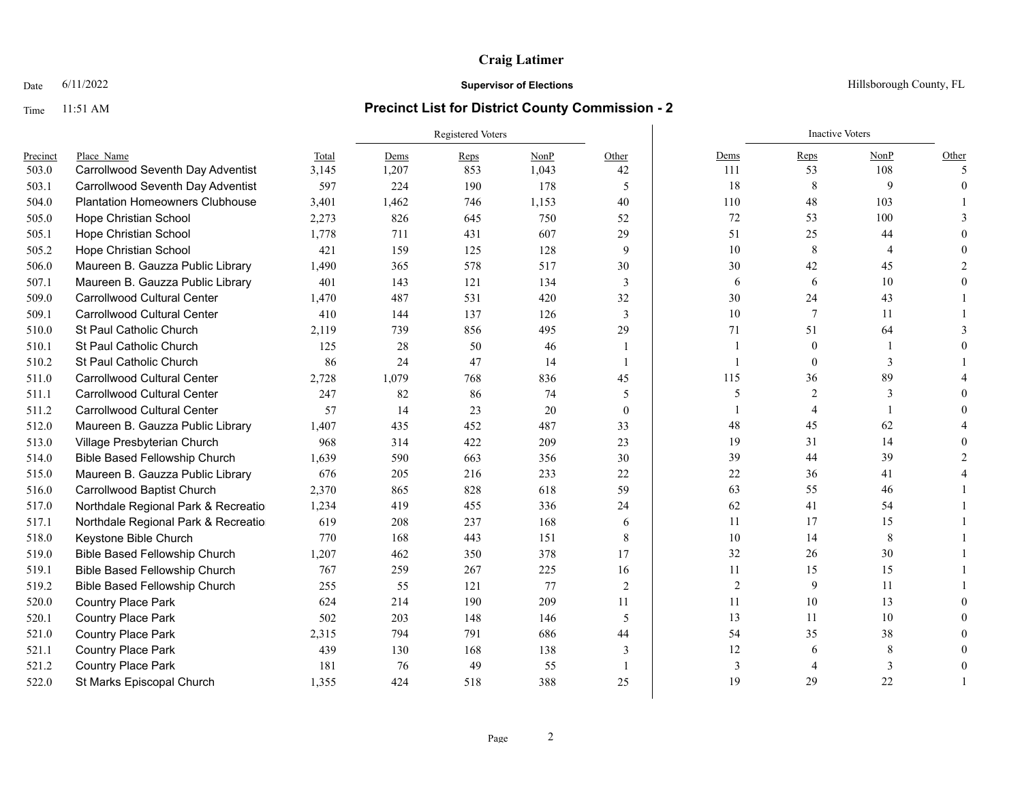### Date  $6/11/2022$  Hillsborough County, FL

|          |                                        |       |       | <b>Registered Voters</b> |       |                | <b>Inactive Voters</b> |                |      |          |  |
|----------|----------------------------------------|-------|-------|--------------------------|-------|----------------|------------------------|----------------|------|----------|--|
| Precinct | Place Name                             | Total | Dems  | Reps                     | NonP  | Other          | Dems                   | Reps           | NonP | Other    |  |
| 503.0    | Carrollwood Seventh Day Adventist      | 3,145 | 1,207 | 853                      | 1,043 | 42             | 111                    | 53             | 108  | 5        |  |
| 503.1    | Carrollwood Seventh Day Adventist      | 597   | 224   | 190                      | 178   | 5              | 18                     | 8              | 9    | $\Omega$ |  |
| 504.0    | <b>Plantation Homeowners Clubhouse</b> | 3,401 | 1,462 | 746                      | 1,153 | 40             | 110                    | 48             | 103  |          |  |
| 505.0    | <b>Hope Christian School</b>           | 2,273 | 826   | 645                      | 750   | 52             | $72\,$                 | 53             | 100  |          |  |
| 505.1    | <b>Hope Christian School</b>           | 1,778 | 711   | 431                      | 607   | 29             | 51                     | 25             | 44   |          |  |
| 505.2    | Hope Christian School                  | 421   | 159   | 125                      | 128   | 9              | 10                     | 8              | 4    |          |  |
| 506.0    | Maureen B. Gauzza Public Library       | 1,490 | 365   | 578                      | 517   | 30             | 30                     | 42             | 45   |          |  |
| 507.1    | Maureen B. Gauzza Public Library       | 401   | 143   | 121                      | 134   | 3              | 6                      | 6              | 10   |          |  |
| 509.0    | <b>Carrollwood Cultural Center</b>     | 1,470 | 487   | 531                      | 420   | 32             | 30                     | 24             | 43   |          |  |
| 509.1    | <b>Carrollwood Cultural Center</b>     | 410   | 144   | 137                      | 126   | 3              | 10                     | $\overline{7}$ | 11   |          |  |
| 510.0    | St Paul Catholic Church                | 2,119 | 739   | 856                      | 495   | 29             | 71                     | 51             | 64   |          |  |
| 510.1    | St Paul Catholic Church                | 125   | 28    | 50                       | 46    | -1             |                        | $\mathbf{0}$   | -1   |          |  |
| 510.2    | St Paul Catholic Church                | 86    | 24    | 47                       | 14    | $\overline{1}$ | $\mathbf{1}$           | $\mathbf{0}$   | 3    |          |  |
| 511.0    | <b>Carrollwood Cultural Center</b>     | 2,728 | 1,079 | 768                      | 836   | 45             | 115                    | 36             | 89   |          |  |
| 511.1    | <b>Carrollwood Cultural Center</b>     | 247   | 82    | 86                       | 74    | 5              | 5                      | $\overline{2}$ | 3    |          |  |
| 511.2    | <b>Carrollwood Cultural Center</b>     | 57    | 14    | 23                       | 20    | $\mathbf{0}$   |                        | $\overline{4}$ |      |          |  |
| 512.0    | Maureen B. Gauzza Public Library       | 1,407 | 435   | 452                      | 487   | 33             | 48                     | 45             | 62   |          |  |
| 513.0    | Village Presbyterian Church            | 968   | 314   | 422                      | 209   | 23             | 19                     | 31             | 14   |          |  |
| 514.0    | <b>Bible Based Fellowship Church</b>   | 1,639 | 590   | 663                      | 356   | 30             | 39                     | 44             | 39   |          |  |
| 515.0    | Maureen B. Gauzza Public Library       | 676   | 205   | 216                      | 233   | 22             | 22                     | 36             | 41   |          |  |
| 516.0    | Carrollwood Baptist Church             | 2,370 | 865   | 828                      | 618   | 59             | 63                     | 55             | 46   |          |  |
| 517.0    | Northdale Regional Park & Recreatio    | 1,234 | 419   | 455                      | 336   | 24             | 62                     | 41             | 54   |          |  |
| 517.1    | Northdale Regional Park & Recreatio    | 619   | 208   | 237                      | 168   | 6              | 11                     | 17             | 15   |          |  |
| 518.0    | Keystone Bible Church                  | 770   | 168   | 443                      | 151   | 8              | 10                     | 14             | 8    |          |  |
| 519.0    | <b>Bible Based Fellowship Church</b>   | 1,207 | 462   | 350                      | 378   | 17             | 32                     | 26             | 30   |          |  |
| 519.1    | <b>Bible Based Fellowship Church</b>   | 767   | 259   | 267                      | 225   | 16             | 11                     | 15             | 15   |          |  |
| 519.2    | <b>Bible Based Fellowship Church</b>   | 255   | 55    | 121                      | 77    | 2              | $\overline{2}$         | 9              | 11   |          |  |
| 520.0    | Country Place Park                     | 624   | 214   | 190                      | 209   | 11             | 11                     | 10             | 13   |          |  |
| 520.1    | Country Place Park                     | 502   | 203   | 148                      | 146   | 5              | 13                     | 11             | 10   |          |  |
| 521.0    | Country Place Park                     | 2,315 | 794   | 791                      | 686   | 44             | 54                     | 35             | 38   |          |  |
| 521.1    | <b>Country Place Park</b>              | 439   | 130   | 168                      | 138   | 3              | 12                     | 6              | 8    |          |  |
| 521.2    | <b>Country Place Park</b>              | 181   | 76    | 49                       | 55    |                | 3                      |                | 3    |          |  |
| 522.0    | St Marks Episcopal Church              | 1,355 | 424   | 518                      | 388   | 25             | 19                     | 29             | 22   |          |  |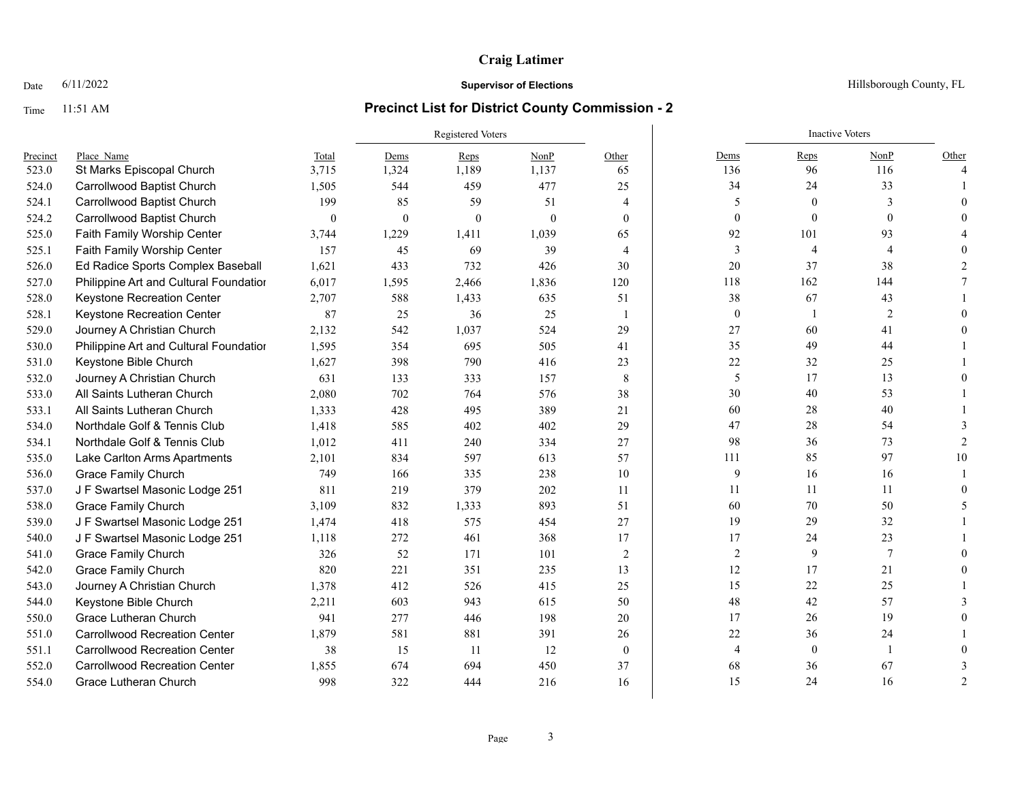### Date  $6/11/2022$  Hillsborough County, FL

|          |                                        |              |              | Registered Voters |          | <b>Inactive Voters</b> |                |              |                  |                          |
|----------|----------------------------------------|--------------|--------------|-------------------|----------|------------------------|----------------|--------------|------------------|--------------------------|
| Precinct | Place Name                             | Total        | Dems         | Reps              | NonP     | Other                  | Dems           | Reps         | NonP             | Other                    |
| 523.0    | St Marks Episcopal Church              | 3,715        | 1,324        | 1,189             | 1,137    | 65                     | 136            | 96           | 116              | $\overline{4}$           |
| 524.0    | Carrollwood Baptist Church             | 1,505        | 544          | 459               | 477      | 25                     | 34             | 24           | 33               |                          |
| 524.1    | Carrollwood Baptist Church             | 199          | 85           | 59                | 51       | $\overline{4}$         | 5              | $\Omega$     | 3                |                          |
| 524.2    | Carrollwood Baptist Church             | $\mathbf{0}$ | $\mathbf{0}$ | $\theta$          | $\theta$ | $\theta$               | $\mathbf{0}$   | $\mathbf{0}$ | $\theta$         |                          |
| 525.0    | Faith Family Worship Center            | 3,744        | 1,229        | 1,411             | 1,039    | 65                     | 92             | 101          | 93               |                          |
| 525.1    | Faith Family Worship Center            | 157          | 45           | 69                | 39       | $\overline{4}$         | $\overline{3}$ | 4            | 4                |                          |
| 526.0    | Ed Radice Sports Complex Baseball      | 1,621        | 433          | 732               | 426      | 30                     | 20             | 37           | 38               |                          |
| 527.0    | Philippine Art and Cultural Foundation | 6,017        | 1,595        | 2,466             | 1,836    | 120                    | 118            | 162          | 144              |                          |
| 528.0    | Keystone Recreation Center             | 2,707        | 588          | 1,433             | 635      | 51                     | 38             | 67           | 43               |                          |
| 528.1    | Keystone Recreation Center             | 87           | 25           | 36                | 25       | 1                      | $\mathbf{0}$   | $\mathbf{1}$ | 2                |                          |
| 529.0    | Journey A Christian Church             | 2,132        | 542          | 1,037             | 524      | 29                     | 27             | 60           | 41               |                          |
| 530.0    | Philippine Art and Cultural Foundatior | 1,595        | 354          | 695               | 505      | 41                     | 35             | 49           | 44               |                          |
| 531.0    | Keystone Bible Church                  | 1,627        | 398          | 790               | 416      | 23                     | 22             | 32           | 25               |                          |
| 532.0    | Journey A Christian Church             | 631          | 133          | 333               | 157      | 8                      | 5              | 17           | 13               |                          |
| 533.0    | All Saints Lutheran Church             | 2,080        | 702          | 764               | 576      | 38                     | 30             | 40           | 53               |                          |
| 533.1    | All Saints Lutheran Church             | 1,333        | 428          | 495               | 389      | 21                     | 60             | 28           | 40               |                          |
| 534.0    | Northdale Golf & Tennis Club           | 1,418        | 585          | 402               | 402      | 29                     | 47             | 28           | 54               |                          |
| 534.1    | Northdale Golf & Tennis Club           | 1,012        | 411          | 240               | 334      | 27                     | 98             | 36           | 73               | 2                        |
| 535.0    | Lake Carlton Arms Apartments           | 2,101        | 834          | 597               | 613      | 57                     | 111            | 85           | 97               | 10                       |
| 536.0    | <b>Grace Family Church</b>             | 749          | 166          | 335               | 238      | 10                     | 9              | 16           | 16               |                          |
| 537.0    | J F Swartsel Masonic Lodge 251         | 811          | 219          | 379               | 202      | 11                     | 11             | 11           | 11               |                          |
| 538.0    | <b>Grace Family Church</b>             | 3,109        | 832          | 1,333             | 893      | 51                     | 60             | 70           | 50               | $\overline{\phantom{1}}$ |
| 539.0    | J F Swartsel Masonic Lodge 251         | 1,474        | 418          | 575               | 454      | 27                     | 19             | 29           | 32               |                          |
| 540.0    | J F Swartsel Masonic Lodge 251         | 1,118        | 272          | 461               | 368      | 17                     | 17             | 24           | 23               |                          |
| 541.0    | <b>Grace Family Church</b>             | 326          | 52           | 171               | 101      | $\overline{2}$         | $\sqrt{2}$     | 9            | $\boldsymbol{7}$ |                          |
| 542.0    | <b>Grace Family Church</b>             | 820          | 221          | 351               | 235      | 13                     | 12             | 17           | 21               |                          |
| 543.0    | Journey A Christian Church             | 1,378        | 412          | 526               | 415      | 25                     | 15             | 22           | 25               |                          |
| 544.0    | Keystone Bible Church                  | 2,211        | 603          | 943               | 615      | 50                     | 48             | 42           | 57               |                          |
| 550.0    | Grace Lutheran Church                  | 941          | 277          | 446               | 198      | 20                     | 17             | 26           | 19               |                          |
| 551.0    | <b>Carrollwood Recreation Center</b>   | 1,879        | 581          | 881               | 391      | 26                     | $22\,$         | 36           | 24               |                          |
| 551.1    | <b>Carrollwood Recreation Center</b>   | 38           | 15           | 11                | 12       | $\theta$               | $\overline{4}$ | $\mathbf{0}$ | 1                |                          |
| 552.0    | <b>Carrollwood Recreation Center</b>   | 1,855        | 674          | 694               | 450      | 37                     | 68             | 36           | 67               |                          |
| 554.0    | Grace Lutheran Church                  | 998          | 322          | 444               | 216      | 16                     | 15             | 24           | 16               | $\mathcal{P}$            |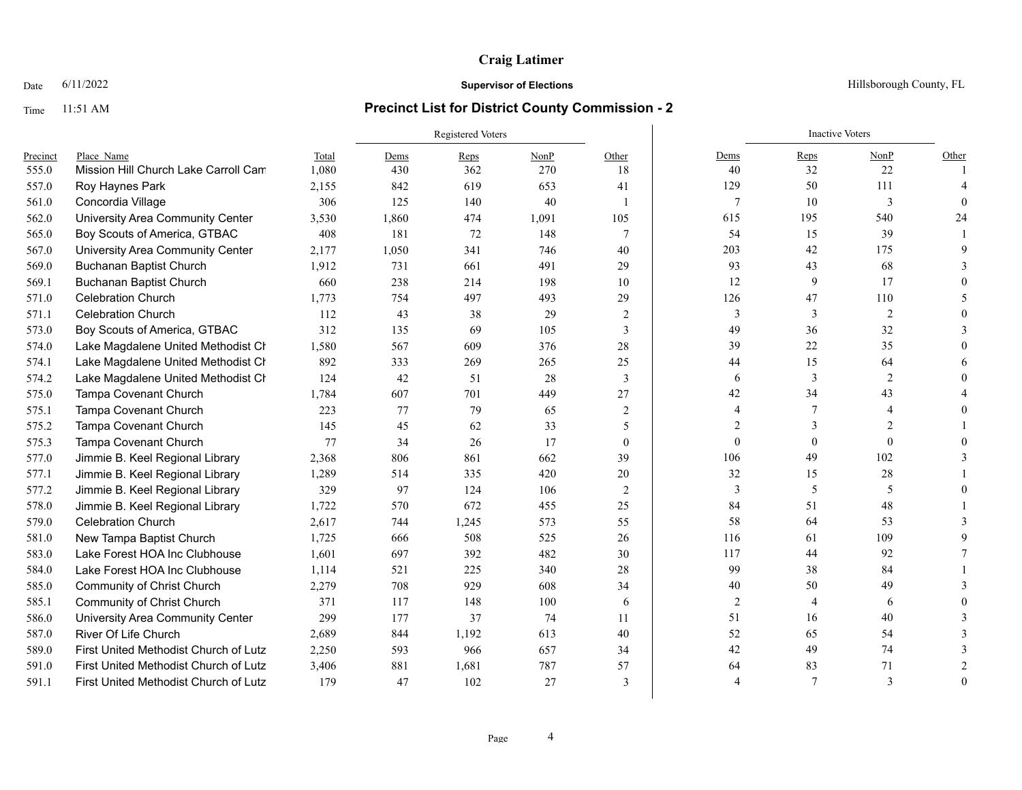### Date  $6/11/2022$  Hillsborough County, FL

|          |                                       |       | Registered Voters |       |       |                 |                | <b>Inactive Voters</b> |                |          |
|----------|---------------------------------------|-------|-------------------|-------|-------|-----------------|----------------|------------------------|----------------|----------|
| Precinct | Place Name                            | Total | Dems              | Reps  | NonP  | Other           | Dems           | Reps                   | NonP           | Other    |
| 555.0    | Mission Hill Church Lake Carroll Cam  | 1,080 | 430               | 362   | 270   | 18              | 40             | 32                     | 22             |          |
| 557.0    | Roy Haynes Park                       | 2,155 | 842               | 619   | 653   | 41              | 129            | 50                     | 111            |          |
| 561.0    | Concordia Village                     | 306   | 125               | 140   | 40    | $\overline{1}$  | $\overline{7}$ | 10                     | 3              | $\Omega$ |
| 562.0    | University Area Community Center      | 3,530 | 1,860             | 474   | 1,091 | 105             | 615            | 195                    | 540            | 24       |
| 565.0    | Boy Scouts of America, GTBAC          | 408   | 181               | 72    | 148   | $7\phantom{.0}$ | 54             | 15                     | 39             |          |
| 567.0    | University Area Community Center      | 2,177 | 1,050             | 341   | 746   | 40              | 203            | 42                     | 175            |          |
| 569.0    | Buchanan Baptist Church               | 1,912 | 731               | 661   | 491   | 29              | 93             | 43                     | 68             |          |
| 569.1    | <b>Buchanan Baptist Church</b>        | 660   | 238               | 214   | 198   | 10              | 12             | 9                      | 17             |          |
| 571.0    | <b>Celebration Church</b>             | 1,773 | 754               | 497   | 493   | 29              | 126            | 47                     | 110            |          |
| 571.1    | <b>Celebration Church</b>             | 112   | 43                | 38    | 29    | $\overline{2}$  | 3              | 3                      | $\overline{2}$ |          |
| 573.0    | Boy Scouts of America, GTBAC          | 312   | 135               | 69    | 105   | 3               | 49             | 36                     | 32             |          |
| 574.0    | Lake Magdalene United Methodist Ch    | 1,580 | 567               | 609   | 376   | 28              | 39             | 22                     | 35             |          |
| 574.1    | Lake Magdalene United Methodist Cr    | 892   | 333               | 269   | 265   | 25              | 44             | 15                     | 64             |          |
| 574.2    | Lake Magdalene United Methodist Cr    | 124   | 42                | 51    | 28    | 3               | 6              | 3                      | $\mathfrak{2}$ |          |
| 575.0    | Tampa Covenant Church                 | 1,784 | 607               | 701   | 449   | 27              | 42             | 34                     | 43             |          |
| 575.1    | Tampa Covenant Church                 | 223   | 77                | 79    | 65    | $\overline{2}$  | $\overline{4}$ | 7                      | 4              |          |
| 575.2    | Tampa Covenant Church                 | 145   | 45                | 62    | 33    | 5               | $\overline{2}$ | 3                      | $\overline{2}$ |          |
| 575.3    | Tampa Covenant Church                 | 77    | 34                | 26    | 17    | $\theta$        | $\mathbf{0}$   | $\mathbf{0}$           | $\theta$       |          |
| 577.0    | Jimmie B. Keel Regional Library       | 2,368 | 806               | 861   | 662   | 39              | 106            | 49                     | 102            |          |
| 577.1    | Jimmie B. Keel Regional Library       | 1,289 | 514               | 335   | 420   | 20              | 32             | 15                     | 28             |          |
| 577.2    | Jimmie B. Keel Regional Library       | 329   | 97                | 124   | 106   | $\overline{2}$  | 3              | 5                      | 5              |          |
| 578.0    | Jimmie B. Keel Regional Library       | 1,722 | 570               | 672   | 455   | 25              | 84             | 51                     | 48             |          |
| 579.0    | Celebration Church                    | 2,617 | 744               | 1,245 | 573   | 55              | 58             | 64                     | 53             |          |
| 581.0    | New Tampa Baptist Church              | 1,725 | 666               | 508   | 525   | 26              | 116            | 61                     | 109            |          |
| 583.0    | Lake Forest HOA Inc Clubhouse         | 1,601 | 697               | 392   | 482   | 30              | 117            | 44                     | 92             |          |
| 584.0    | Lake Forest HOA Inc Clubhouse         | 1,114 | 521               | 225   | 340   | 28              | 99             | 38                     | 84             |          |
| 585.0    | Community of Christ Church            | 2,279 | 708               | 929   | 608   | 34              | $40\,$         | 50                     | 49             |          |
| 585.1    | <b>Community of Christ Church</b>     | 371   | 117               | 148   | 100   | 6               | $\overline{2}$ | $\overline{4}$         | 6              |          |
| 586.0    | University Area Community Center      | 299   | 177               | 37    | 74    | 11              | 51             | 16                     | 40             |          |
| 587.0    | River Of Life Church                  | 2,689 | 844               | 1,192 | 613   | 40              | 52             | 65                     | 54             | 3        |
| 589.0    | First United Methodist Church of Lutz | 2,250 | 593               | 966   | 657   | 34              | 42             | 49                     | 74             |          |
| 591.0    | First United Methodist Church of Lutz | 3,406 | 881               | 1,681 | 787   | 57              | 64             | 83                     | 71             |          |
| 591.1    | First United Methodist Church of Lutz | 179   | 47                | 102   | 27    | 3               | Δ              | $\overline{7}$         | 3              | $\Omega$ |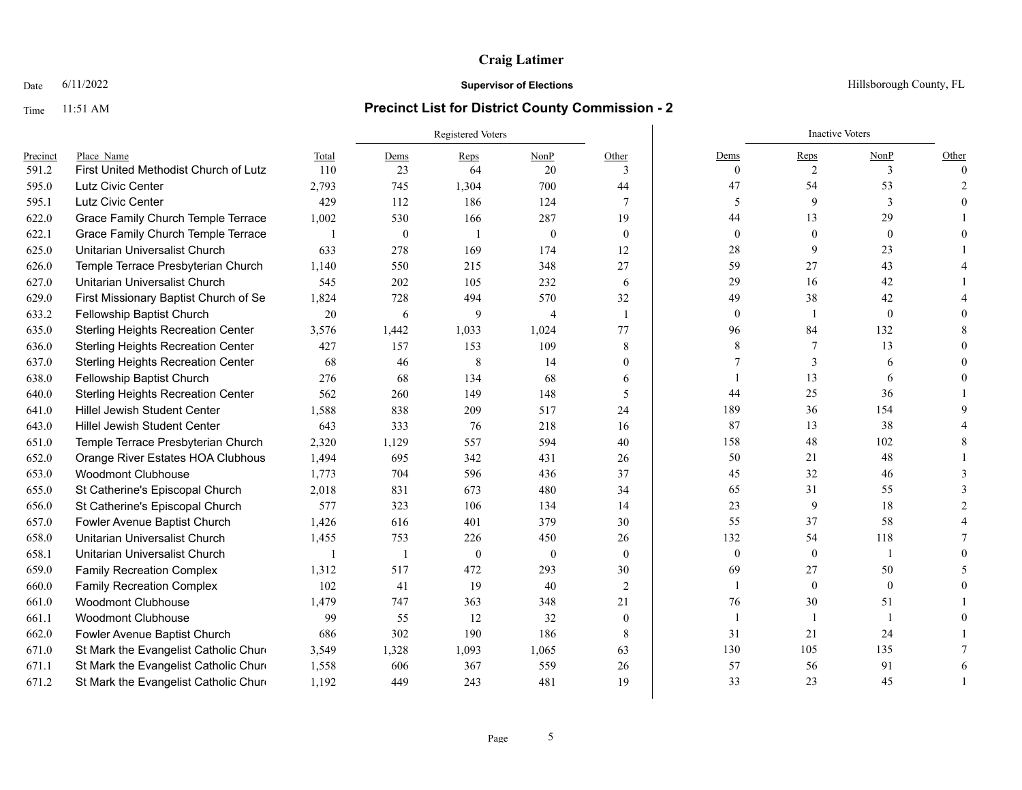### Date  $6/11/2022$  Hillsborough County, FL

|          |                                           |       | Registered Voters |                |                |                  |                | <b>Inactive Voters</b> |                |          |
|----------|-------------------------------------------|-------|-------------------|----------------|----------------|------------------|----------------|------------------------|----------------|----------|
| Precinct | Place Name                                | Total | Dems              | Reps           | NonP           | Other            | Dems           | Reps                   | NonP           | Other    |
| 591.2    | First United Methodist Church of Lutz     | 110   | 23                | 64             | 20             | 3                | $\overline{0}$ | $\overline{c}$         | 3              | $\Omega$ |
| 595.0    | Lutz Civic Center                         | 2,793 | 745               | 1,304          | 700            | 44               | 47             | 54                     | 53             |          |
| 595.1    | Lutz Civic Center                         | 429   | 112               | 186            | 124            | 7                | 5              | 9                      | 3              |          |
| 622.0    | Grace Family Church Temple Terrace        | 1,002 | 530               | 166            | 287            | 19               | 44             | 13                     | 29             |          |
| 622.1    | Grace Family Church Temple Terrace        |       | $\boldsymbol{0}$  |                | $\mathbf{0}$   | $\overline{0}$   | $\mathbf{0}$   | $\mathbf{0}$           | $\mathbf{0}$   |          |
| 625.0    | Unitarian Universalist Church             | 633   | 278               | 169            | 174            | 12               | 28             | 9                      | 23             |          |
| 626.0    | Temple Terrace Presbyterian Church        | 1,140 | 550               | 215            | 348            | 27               | 59             | 27                     | 43             |          |
| 627.0    | Unitarian Universalist Church             | 545   | 202               | 105            | 232            | 6                | 29             | 16                     | 42             |          |
| 629.0    | First Missionary Baptist Church of Se     | 1,824 | 728               | 494            | 570            | 32               | 49             | 38                     | 42             |          |
| 633.2    | Fellowship Baptist Church                 | 20    | 6                 | 9              | $\overline{4}$ | $\mathbf{1}$     | $\overline{0}$ | $\mathbf{1}$           | $\mathbf{0}$   |          |
| 635.0    | <b>Sterling Heights Recreation Center</b> | 3,576 | 1,442             | 1,033          | 1,024          | 77               | 96             | 84                     | 132            |          |
| 636.0    | <b>Sterling Heights Recreation Center</b> | 427   | 157               | 153            | 109            | 8                | 8              | 7                      | 13             |          |
| 637.0    | <b>Sterling Heights Recreation Center</b> | 68    | 46                | 8              | 14             | 0                |                | 3                      | 6              |          |
| 638.0    | Fellowship Baptist Church                 | 276   | 68                | 134            | 68             | 6                |                | 13                     | 6              |          |
| 640.0    | <b>Sterling Heights Recreation Center</b> | 562   | 260               | 149            | 148            | 5                | 44             | 25                     | 36             |          |
| 641.0    | <b>Hillel Jewish Student Center</b>       | 1,588 | 838               | 209            | 517            | 24               | 189            | 36                     | 154            |          |
| 643.0    | <b>Hillel Jewish Student Center</b>       | 643   | 333               | 76             | 218            | 16               | 87             | 13                     | 38             |          |
| 651.0    | Temple Terrace Presbyterian Church        | 2,320 | 1,129             | 557            | 594            | 40               | 158            | 48                     | 102            |          |
| 652.0    | Orange River Estates HOA Clubhous         | 1,494 | 695               | 342            | 431            | 26               | 50             | 21                     | 48             |          |
| 653.0    | <b>Woodmont Clubhouse</b>                 | 1,773 | 704               | 596            | 436            | 37               | 45             | 32                     | 46             |          |
| 655.0    | St Catherine's Episcopal Church           | 2,018 | 831               | 673            | 480            | 34               | 65             | 31                     | 55             |          |
| 656.0    | St Catherine's Episcopal Church           | 577   | 323               | 106            | 134            | 14               | 23             | 9                      | 18             |          |
| 657.0    | Fowler Avenue Baptist Church              | 1,426 | 616               | 401            | 379            | 30               | 55             | 37                     | 58             |          |
| 658.0    | Unitarian Universalist Church             | 1,455 | 753               | 226            | 450            | 26               | 132            | 54                     | 118            |          |
| 658.1    | Unitarian Universalist Church             |       |                   | $\overline{0}$ | $\overline{0}$ | $\mathbf{0}$     | $\mathbf{0}$   | $\boldsymbol{0}$       | 1              |          |
| 659.0    | <b>Family Recreation Complex</b>          | 1,312 | 517               | 472            | 293            | 30               | 69             | 27                     | 50             |          |
| 660.0    | <b>Family Recreation Complex</b>          | 102   | 41                | 19             | 40             | 2                |                | $\mathbf{0}$           | $\overline{0}$ |          |
| 661.0    | <b>Woodmont Clubhouse</b>                 | 1,479 | 747               | 363            | 348            | 21               | 76             | $30\,$                 | 51             |          |
| 661.1    | <b>Woodmont Clubhouse</b>                 | 99    | 55                | 12             | 32             | $\boldsymbol{0}$ | 1              | $\mathbf{1}$           | $\mathbf{1}$   |          |
| 662.0    | Fowler Avenue Baptist Church              | 686   | 302               | 190            | 186            | 8                | 31             | 21                     | 24             |          |
| 671.0    | St Mark the Evangelist Catholic Chure     | 3,549 | 1,328             | 1,093          | 1,065          | 63               | 130            | 105                    | 135            |          |
| 671.1    | St Mark the Evangelist Catholic Chure     | 1,558 | 606               | 367            | 559            | 26               | 57             | 56                     | 91             |          |
| 671.2    | St Mark the Evangelist Catholic Chure     | 1,192 | 449               | 243            | 481            | 19               | 33             | 23                     | 45             |          |